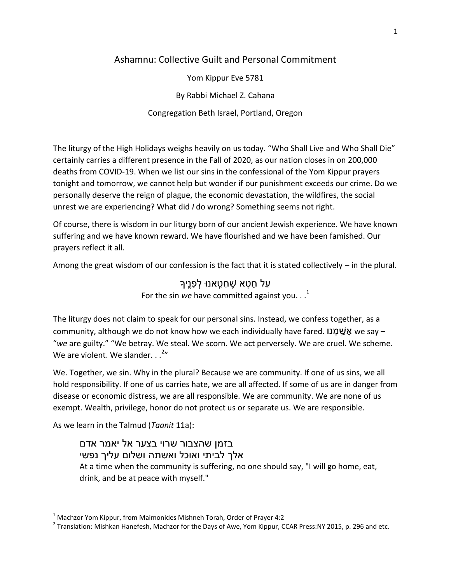## Ashamnu: Collective Guilt and Personal Commitment

Yom Kippur Eve 5781

By Rabbi Michael Z. Cahana

Congregation Beth Israel, Portland, Oregon

The liturgy of the High Holidays weighs heavily on us today. "Who Shall Live and Who Shall Die" certainly carries a different presence in the Fall of 2020, as our nation closes in on 200,000 deaths from COVID-19. When we list our sins in the confessional of the Yom Kippur prayers tonight and tomorrow, we cannot help but wonder if our punishment exceeds our crime. Do we personally deserve the reign of plague, the economic devastation, the wildfires, the social unrest we are experiencing? What did *I* do wrong? Something seems not right.

Of course, there is wisdom in our liturgy born of our ancient Jewish experience. We have known suffering and we have known reward. We have flourished and we have been famished. Our prayers reflect it all.

Among the great wisdom of our confession is the fact that it is stated collectively – in the plural.

ַ עַל חֶטָא שֶׁחָטֶאנוּ לְפָנֵיך For the sin *we* have committed against you.  $\cdot$ .<sup>1</sup>

The liturgy does not claim to speak for our personal sins. Instead, we confess together, as a community, although we do not know how we each individually have fared. אֲשֲׁמָנו we say – "*we* are guilty." "We betray. We steal. We scorn. We act perversely. We are cruel. We scheme. We are violent. We slander.  $\ldots^{2n}$ 

We. Together, we sin. Why in the plural? Because we are community. If one of us sins, we all hold responsibility. If one of us carries hate, we are all affected. If some of us are in danger from disease or economic distress, we are all responsible. We are community. We are none of us exempt. Wealth, privilege, honor do not protect us or separate us. We are responsible.

As we learn in the Talmud (*Taanit* 11a):

l

בזמן שהצבור שרוי בצער אל יאמר אדם אלך לביתי ואוכל ואשתה ושלום עליך נפשי At a time when the community is suffering, no one should say, "I will go home, eat, drink, and be at peace with myself."

 $1$  Machzor Yom Kippur, from Maimonides Mishneh Torah, Order of Prayer 4:2

 $^2$  Translation: Mishkan Hanefesh, Machzor for the Days of Awe, Yom Kippur, CCAR Press:NY 2015, p. 296 and etc.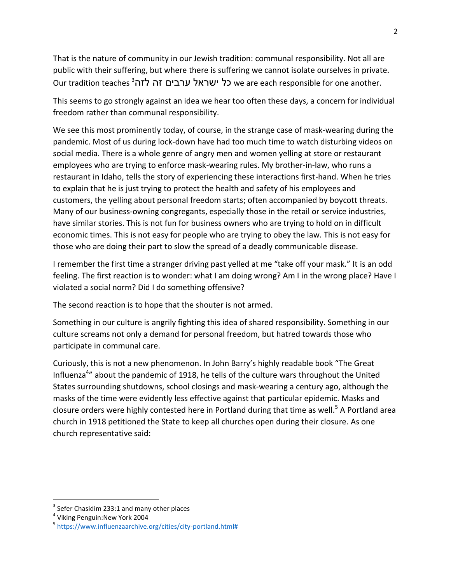That is the nature of community in our Jewish tradition: communal responsibility. Not all are public with their suffering, but where there is suffering we cannot isolate ourselves in private. Our tradition teaches 3 כל ישראל ערבים זה לזה<sup>3</sup>

This seems to go strongly against an idea we hear too often these days, a concern for individual freedom rather than communal responsibility.

We see this most prominently today, of course, in the strange case of mask-wearing during the pandemic. Most of us during lock-down have had too much time to watch disturbing videos on social media. There is a whole genre of angry men and women yelling at store or restaurant employees who are trying to enforce mask-wearing rules. My brother-in-law, who runs a restaurant in Idaho, tells the story of experiencing these interactions first-hand. When he tries to explain that he is just trying to protect the health and safety of his employees and customers, the yelling about personal freedom starts; often accompanied by boycott threats. Many of our business-owning congregants, especially those in the retail or service industries, have similar stories. This is not fun for business owners who are trying to hold on in difficult economic times. This is not easy for people who are trying to obey the law. This is not easy for those who are doing their part to slow the spread of a deadly communicable disease.

I remember the first time a stranger driving past yelled at me "take off your mask." It is an odd feeling. The first reaction is to wonder: what I am doing wrong? Am I in the wrong place? Have I violated a social norm? Did I do something offensive?

The second reaction is to hope that the shouter is not armed.

Something in our culture is angrily fighting this idea of shared responsibility. Something in our culture screams not only a demand for personal freedom, but hatred towards those who participate in communal care.

Curiously, this is not a new phenomenon. In John Barry's highly readable book "The Great Influenza<sup>4</sup>" about the pandemic of 1918, he tells of the culture wars throughout the United States surrounding shutdowns, school closings and mask-wearing a century ago, although the masks of the time were evidently less effective against that particular epidemic. Masks and closure orders were highly contested here in Portland during that time as well.<sup>5</sup> A Portland area church in 1918 petitioned the State to keep all churches open during their closure. As one church representative said:

 $\overline{\phantom{a}}$ 

 $3$  Sefer Chasidim 233:1 and many other places

<sup>4</sup> Viking Penguin:New York 2004

<sup>&</sup>lt;sup>5</sup>[https://www.influenzaarchive.org/cities/city-portland.html#](https://www.influenzaarchive.org/cities/city-portland.html)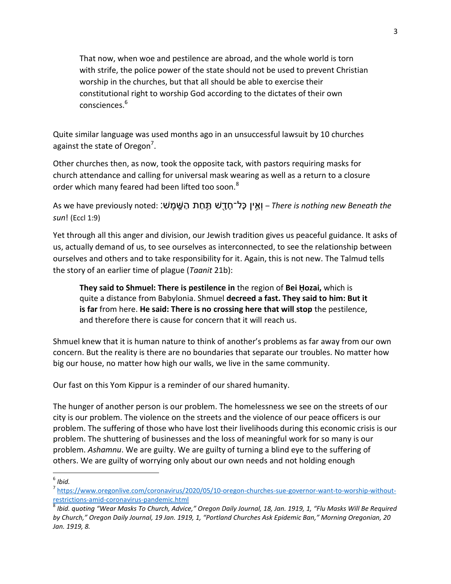That now, when woe and pestilence are abroad, and the whole world is torn with strife, the police power of the state should not be used to prevent Christian worship in the churches, but that all should be able to exercise their constitutional right to worship God according to the dictates of their own consciences.<sup>6</sup>

Quite similar language was used months ago in an unsuccessful lawsuit by 10 churches against the state of Oregon<sup>7</sup>.

Other churches then, as now, took the opposite tack, with pastors requiring masks for church attendance and calling for universal mask wearing as well as a return to a closure order which many feared had been lifted too soon.<sup>8</sup>

*A*s we have previously noted: וְאֵין כָּל־חָדֶשׁ תַּחַת הַשֶּׁמֶשׁ: As we have previously noted: *sun*! (Eccl 1:9)

Yet through all this anger and division, our Jewish tradition gives us peaceful guidance. It asks of us, actually demand of us, to see ourselves as interconnected, to see the relationship between ourselves and others and to take responsibility for it. Again, this is not new. The Talmud tells the story of an earlier time of plague (*Taanit* 21b):

**They said to Shmuel: There is pestilence in** the region of **Bei Ḥozai,** which is quite a distance from Babylonia. Shmuel **decreed a fast. They said to him: But it is far** from here. **He said: There is no crossing here that will stop** the pestilence, and therefore there is cause for concern that it will reach us.

Shmuel knew that it is human nature to think of another's problems as far away from our own concern. But the reality is there are no boundaries that separate our troubles. No matter how big our house, no matter how high our walls, we live in the same community.

Our fast on this Yom Kippur is a reminder of our shared humanity.

The hunger of another person is our problem. The homelessness we see on the streets of our city is our problem. The violence on the streets and the violence of our peace officers is our problem. The suffering of those who have lost their livelihoods during this economic crisis is our problem. The shuttering of businesses and the loss of meaningful work for so many is our problem. *Ashamnu*. We are guilty. We are guilty of turning a blind eye to the suffering of others. We are guilty of worrying only about our own needs and not holding enough

 $\overline{a}$ 6 *Ibid.*

<sup>&</sup>lt;sup>7</sup> [https://www.oregonlive.com/coronavirus/2020/05/10-oregon-churches-sue-governor-want-to-worship-without](https://www.oregonlive.com/coronavirus/2020/05/10-oregon-churches-sue-governor-want-to-worship-without-restrictions-amid-coronavirus-pandemic.html)[restrictions-amid-coronavirus-pandemic.html](https://www.oregonlive.com/coronavirus/2020/05/10-oregon-churches-sue-governor-want-to-worship-without-restrictions-amid-coronavirus-pandemic.html)

<sup>8</sup> *Ibid. quoting "Wear Masks To Church, Advice," Oregon Daily Journal, 18, Jan. 1919, 1, "Flu Masks Will Be Required by Church," Oregon Daily Journal, 19 Jan. 1919, 1, "Portland Churches Ask Epidemic Ban," Morning Oregonian, 20 Jan. 1919, 8.*